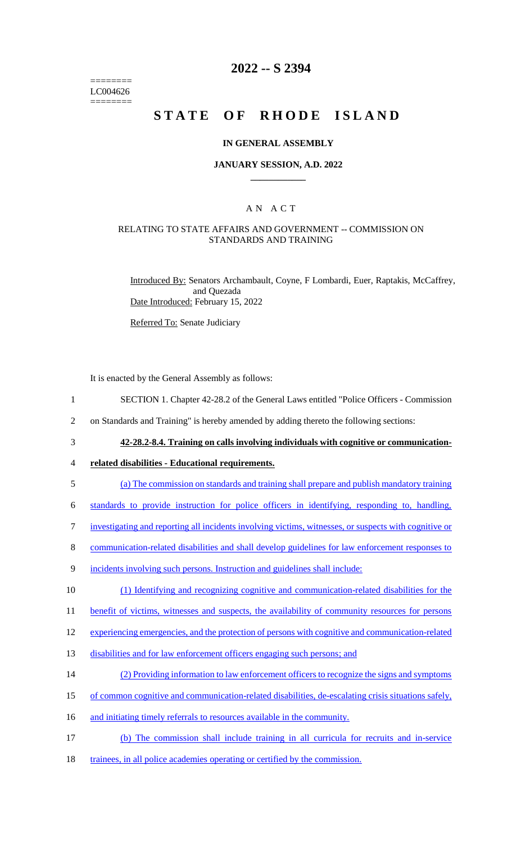======== LC004626 ========

## **2022 -- S 2394**

# **STATE OF RHODE ISLAND**

## **IN GENERAL ASSEMBLY**

### **JANUARY SESSION, A.D. 2022 \_\_\_\_\_\_\_\_\_\_\_\_**

## A N A C T

## RELATING TO STATE AFFAIRS AND GOVERNMENT -- COMMISSION ON STANDARDS AND TRAINING

Introduced By: Senators Archambault, Coyne, F Lombardi, Euer, Raptakis, McCaffrey, and Quezada Date Introduced: February 15, 2022

Referred To: Senate Judiciary

It is enacted by the General Assembly as follows:

- 1 SECTION 1. Chapter 42-28.2 of the General Laws entitled "Police Officers Commission
- 2 on Standards and Training" is hereby amended by adding thereto the following sections:
- 

3 **42-28.2-8.4. Training on calls involving individuals with cognitive or communication-**

### 4 **related disabilities - Educational requirements.**

5 (a) The commission on standards and training shall prepare and publish mandatory training

6 standards to provide instruction for police officers in identifying, responding to, handling,

- 7 investigating and reporting all incidents involving victims, witnesses, or suspects with cognitive or
- 8 communication-related disabilities and shall develop guidelines for law enforcement responses to
- 9 incidents involving such persons. Instruction and guidelines shall include:

10 (1) Identifying and recognizing cognitive and communication-related disabilities for the

11 benefit of victims, witnesses and suspects, the availability of community resources for persons

12 experiencing emergencies, and the protection of persons with cognitive and communication-related

- 13 disabilities and for law enforcement officers engaging such persons; and
- 14 (2) Providing information to law enforcement officers to recognize the signs and symptoms
- 15 of common cognitive and communication-related disabilities, de-escalating crisis situations safely,
- 16 and initiating timely referrals to resources available in the community.
- 17 (b) The commission shall include training in all curricula for recruits and in-service
- 18 trainees, in all police academies operating or certified by the commission.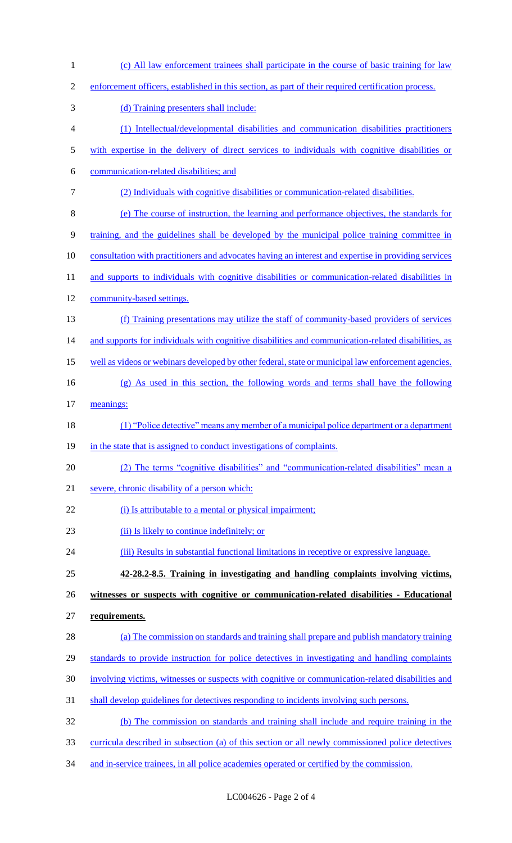| $\mathbf{1}$   | (c) All law enforcement trainees shall participate in the course of basic training for law           |
|----------------|------------------------------------------------------------------------------------------------------|
| $\overline{2}$ | enforcement officers, established in this section, as part of their required certification process.  |
| 3              | (d) Training presenters shall include:                                                               |
| $\overline{4}$ | (1) Intellectual/developmental disabilities and communication disabilities practitioners             |
| $\mathfrak{S}$ | with expertise in the delivery of direct services to individuals with cognitive disabilities or      |
| 6              | communication-related disabilities; and                                                              |
| $\tau$         | (2) Individuals with cognitive disabilities or communication-related disabilities.                   |
| 8              | (e) The course of instruction, the learning and performance objectives, the standards for            |
| 9              | training, and the guidelines shall be developed by the municipal police training committee in        |
| 10             | consultation with practitioners and advocates having an interest and expertise in providing services |
| 11             | and supports to individuals with cognitive disabilities or communication-related disabilities in     |
| 12             | community-based settings.                                                                            |
| 13             | (f) Training presentations may utilize the staff of community-based providers of services            |
| 14             | and supports for individuals with cognitive disabilities and communication-related disabilities, as  |
| 15             | well as videos or webinars developed by other federal, state or municipal law enforcement agencies.  |
| 16             | (g) As used in this section, the following words and terms shall have the following                  |
| 17             | meanings:                                                                                            |
| 18             | (1) "Police detective" means any member of a municipal police department or a department             |
| 19             | in the state that is assigned to conduct investigations of complaints.                               |
| 20             | (2) The terms "cognitive disabilities" and "communication-related disabilities" mean a               |
| 21             | severe, chronic disability of a person which:                                                        |
| 22             | (i) Is attributable to a mental or physical impairment;                                              |
| 23             | (ii) Is likely to continue indefinitely; or                                                          |
| 24             | (iii) Results in substantial functional limitations in receptive or expressive language.             |
| 25             | 42-28.2-8.5. Training in investigating and handling complaints involving victims,                    |
| 26             | witnesses or suspects with cognitive or communication-related disabilities - Educational             |
| 27             | requirements.                                                                                        |
| 28             | (a) The commission on standards and training shall prepare and publish mandatory training            |
| 29             | standards to provide instruction for police detectives in investigating and handling complaints      |
| 30             | involving victims, witnesses or suspects with cognitive or communication-related disabilities and    |
| 31             | shall develop guidelines for detectives responding to incidents involving such persons.              |
| 32             | (b) The commission on standards and training shall include and require training in the               |
| 33             | curricula described in subsection (a) of this section or all newly commissioned police detectives    |
| 34             | and in-service trainees, in all police academies operated or certified by the commission.            |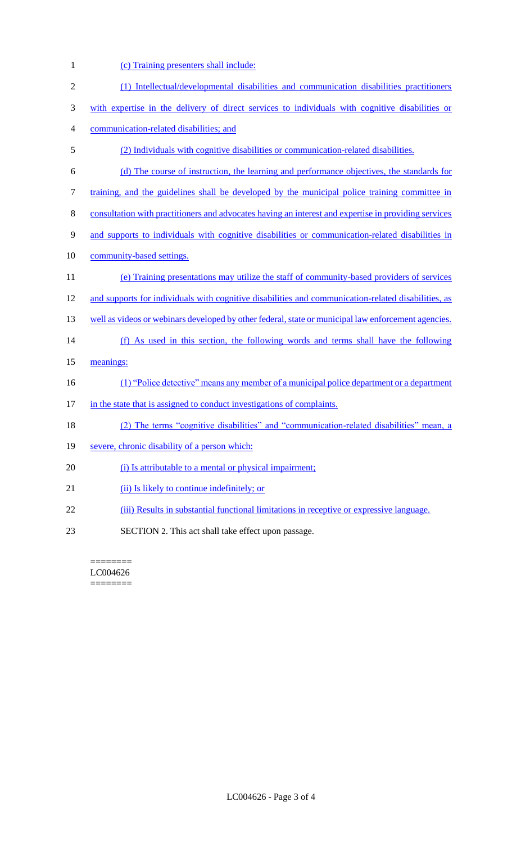| 1              | (c) Training presenters shall include:                                                               |
|----------------|------------------------------------------------------------------------------------------------------|
| $\mathfrak{2}$ | (1) Intellectual/developmental disabilities and communication disabilities practitioners             |
| $\mathfrak{Z}$ | with expertise in the delivery of direct services to individuals with cognitive disabilities or      |
| 4              | communication-related disabilities; and                                                              |
| $\mathfrak s$  | (2) Individuals with cognitive disabilities or communication-related disabilities.                   |
| 6              | (d) The course of instruction, the learning and performance objectives, the standards for            |
| 7              | training, and the guidelines shall be developed by the municipal police training committee in        |
| $8\,$          | consultation with practitioners and advocates having an interest and expertise in providing services |
| 9              | and supports to individuals with cognitive disabilities or communication-related disabilities in     |
| 10             | community-based settings.                                                                            |
| 11             | (e) Training presentations may utilize the staff of community-based providers of services            |
| 12             | and supports for individuals with cognitive disabilities and communication-related disabilities, as  |
| 13             | well as videos or webinars developed by other federal, state or municipal law enforcement agencies.  |
| 14             | (f) As used in this section, the following words and terms shall have the following                  |
| 15             | meanings:                                                                                            |
| 16             | (1) "Police detective" means any member of a municipal police department or a department             |
| 17             | in the state that is assigned to conduct investigations of complaints.                               |
| 18             | (2) The terms "cognitive disabilities" and "communication-related disabilities" mean, a              |
| 19             | severe, chronic disability of a person which:                                                        |
| 20             | (i) Is attributable to a mental or physical impairment;                                              |
| 21             | (ii) Is likely to continue indefinitely; or                                                          |
| 22             | (iii) Results in substantial functional limitations in receptive or expressive language.             |
| 23             | SECTION 2. This act shall take effect upon passage.                                                  |

 $\begin{minipage}{0.9\linewidth} \begin{tabular}{l} \hline \textbf{r} & \textbf{r} \\ \hline \textbf{r} & \textbf{r} \\ \hline \textbf{r} & \textbf{r} \\ \hline \textbf{r} & \textbf{r} \\ \hline \textbf{r} & \textbf{r} \\ \hline \textbf{r} & \textbf{r} \\ \hline \textbf{r} & \textbf{r} \\ \hline \textbf{r} & \textbf{r} \\ \hline \textbf{r} & \textbf{r} \\ \hline \textbf{r} & \textbf{r} \\ \hline \textbf{r} & \textbf{r} \\ \hline \textbf{r} & \text$ LC004626 ========